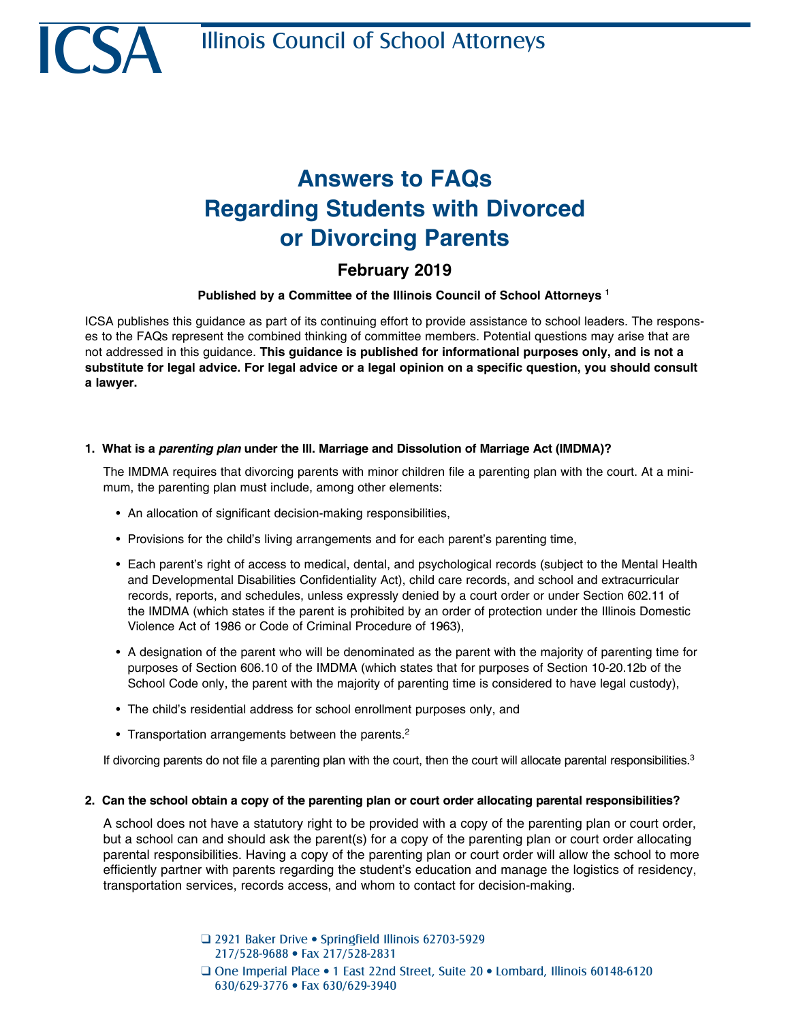# **Answers to FAQs Regarding Students with Divorced or Divorcing Parents**

# **February 2019**

# **Published by a Committee of the Illinois Council of School Attorneys 1**

ICSA publishes this guidance as part of its continuing effort to provide assistance to school leaders. The responses to the FAQs represent the combined thinking of committee members. Potential questions may arise that are not addressed in this guidance. **This guidance is published for informational purposes only, and is not a substitute for legal advice. For legal advice or a legal opinion on a specific question, you should consult a lawyer.**

## **1. What is a** *parenting plan* **under the Ill. Marriage and Dissolution of Marriage Act (IMDMA)?**

The IMDMA requires that divorcing parents with minor children file a parenting plan with the court. At a minimum, the parenting plan must include, among other elements:

- An allocation of significant decision-making responsibilities,
- Provisions for the child's living arrangements and for each parent's parenting time,
- Each parent's right of access to medical, dental, and psychological records (subject to the Mental Health and Developmental Disabilities Confidentiality Act), child care records, and school and extracurricular records, reports, and schedules, unless expressly denied by a court order or under Section 602.11 of the IMDMA (which states if the parent is prohibited by an order of protection under the Illinois Domestic Violence Act of 1986 or Code of Criminal Procedure of 1963),
- A designation of the parent who will be denominated as the parent with the majority of parenting time for purposes of Section 606.10 of the IMDMA (which states that for purposes of Section 10-20.12b of the School Code only, the parent with the majority of parenting time is considered to have legal custody),
- The child's residential address for school enrollment purposes only, and
- Transportation arrangements between the parents. $2$

If divorcing parents do not file a parenting plan with the court, then the court will allocate parental responsibilities.<sup>3</sup>

#### **2. Can the school obtain a copy of the parenting plan or court order allocating parental responsibilities?**

A school does not have a statutory right to be provided with a copy of the parenting plan or court order, but a school can and should ask the parent(s) for a copy of the parenting plan or court order allocating parental responsibilities. Having a copy of the parenting plan or court order will allow the school to more efficiently partner with parents regarding the student's education and manage the logistics of residency, transportation services, records access, and whom to contact for decision-making.

> □ 2921 Baker Drive • Springfield Illinois 62703-5929 217/528-9688 • Fax 217/528-2831 Q One Imperial Place • 1 East 22nd Street, Suite 20 • Lombard, Illinois 60148-6120 630/629-3776 • Fax 630/629-3940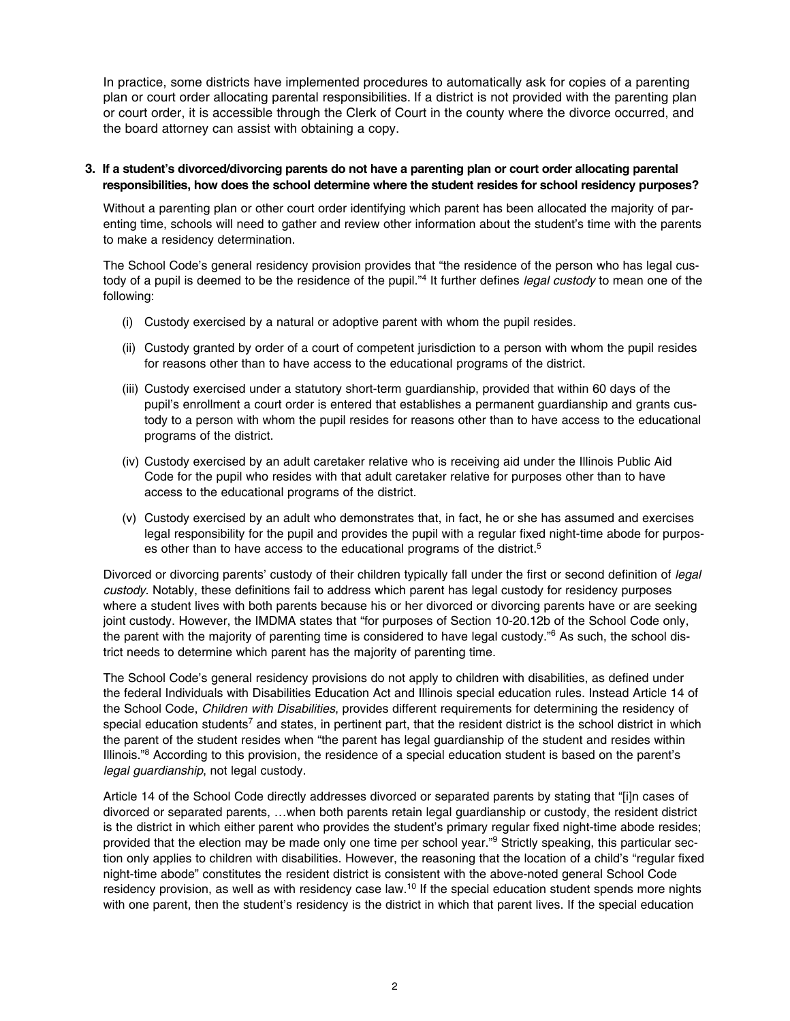In practice, some districts have implemented procedures to automatically ask for copies of a parenting plan or court order allocating parental responsibilities. If a district is not provided with the parenting plan or court order, it is accessible through the Clerk of Court in the county where the divorce occurred, and the board attorney can assist with obtaining a copy.

#### **3. If a student's divorced/divorcing parents do not have a parenting plan or court order allocating parental responsibilities, how does the school determine where the student resides for school residency purposes?**

Without a parenting plan or other court order identifying which parent has been allocated the majority of parenting time, schools will need to gather and review other information about the student's time with the parents to make a residency determination.

The School Code's general residency provision provides that "the residence of the person who has legal custody of a pupil is deemed to be the residence of the pupil."<sup>4</sup> It further defines *legal custody* to mean one of the following:

- (i) Custody exercised by a natural or adoptive parent with whom the pupil resides.
- (ii) Custody granted by order of a court of competent jurisdiction to a person with whom the pupil resides for reasons other than to have access to the educational programs of the district.
- (iii) Custody exercised under a statutory short-term guardianship, provided that within 60 days of the pupil's enrollment a court order is entered that establishes a permanent guardianship and grants custody to a person with whom the pupil resides for reasons other than to have access to the educational programs of the district.
- (iv) Custody exercised by an adult caretaker relative who is receiving aid under the Illinois Public Aid Code for the pupil who resides with that adult caretaker relative for purposes other than to have access to the educational programs of the district.
- (v) Custody exercised by an adult who demonstrates that, in fact, he or she has assumed and exercises legal responsibility for the pupil and provides the pupil with a regular fixed night-time abode for purposes other than to have access to the educational programs of the district.<sup>5</sup>

Divorced or divorcing parents' custody of their children typically fall under the first or second definition of *legal custody*. Notably, these definitions fail to address which parent has legal custody for residency purposes where a student lives with both parents because his or her divorced or divorcing parents have or are seeking joint custody. However, the IMDMA states that "for purposes of Section 10-20.12b of the School Code only, the parent with the majority of parenting time is considered to have legal custody."<sup>6</sup> As such, the school district needs to determine which parent has the majority of parenting time.

The School Code's general residency provisions do not apply to children with disabilities, as defined under the federal Individuals with Disabilities Education Act and Illinois special education rules. Instead Article 14 of the School Code, *Children with Disabilities*, provides different requirements for determining the residency of special education students<sup>7</sup> and states, in pertinent part, that the resident district is the school district in which the parent of the student resides when "the parent has legal guardianship of the student and resides within Illinois."<sup>8</sup> According to this provision, the residence of a special education student is based on the parent's *legal guardianship*, not legal custody.

Article 14 of the School Code directly addresses divorced or separated parents by stating that "[i]n cases of divorced or separated parents, …when both parents retain legal guardianship or custody, the resident district is the district in which either parent who provides the student's primary regular fixed night-time abode resides; provided that the election may be made only one time per school year."<sup>9</sup> Strictly speaking, this particular section only applies to children with disabilities. However, the reasoning that the location of a child's "regular fixed night-time abode" constitutes the resident district is consistent with the above-noted general School Code residency provision, as well as with residency case law.10 If the special education student spends more nights with one parent, then the student's residency is the district in which that parent lives. If the special education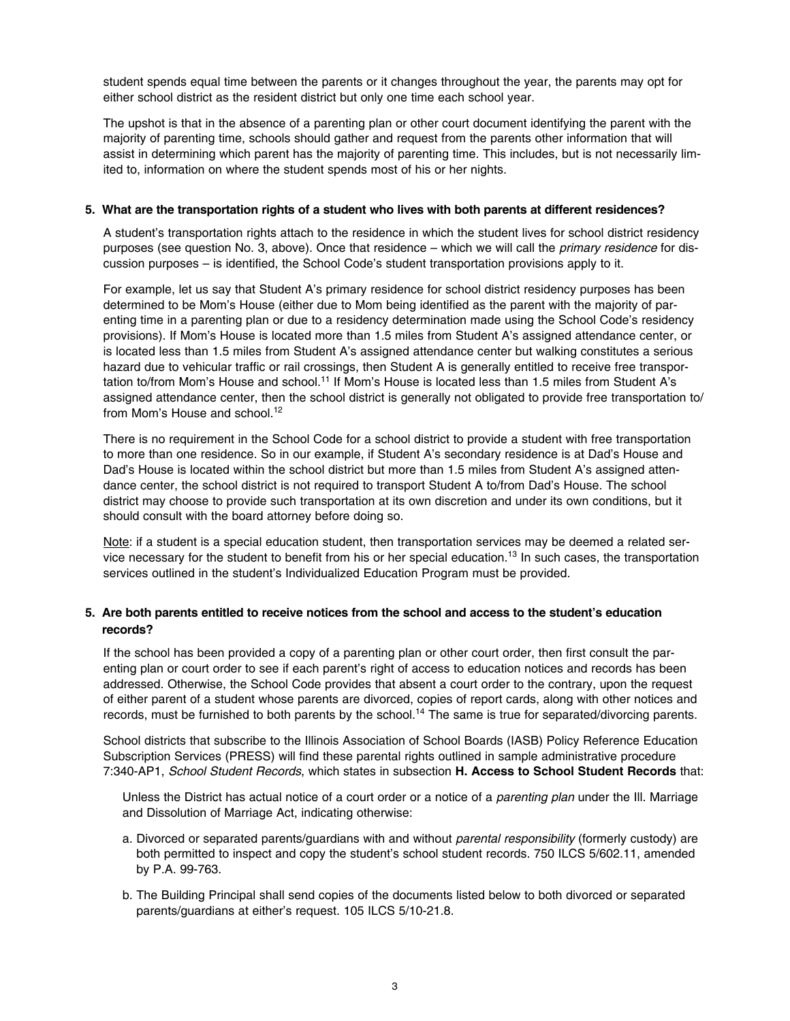student spends equal time between the parents or it changes throughout the year, the parents may opt for either school district as the resident district but only one time each school year.

The upshot is that in the absence of a parenting plan or other court document identifying the parent with the majority of parenting time, schools should gather and request from the parents other information that will assist in determining which parent has the majority of parenting time. This includes, but is not necessarily limited to, information on where the student spends most of his or her nights.

#### **5. What are the transportation rights of a student who lives with both parents at different residences?**

A student's transportation rights attach to the residence in which the student lives for school district residency purposes (see question No. 3, above). Once that residence – which we will call the *primary residence* for discussion purposes – is identified, the School Code's student transportation provisions apply to it.

For example, let us say that Student A's primary residence for school district residency purposes has been determined to be Mom's House (either due to Mom being identified as the parent with the majority of parenting time in a parenting plan or due to a residency determination made using the School Code's residency provisions). If Mom's House is located more than 1.5 miles from Student A's assigned attendance center, or is located less than 1.5 miles from Student A's assigned attendance center but walking constitutes a serious hazard due to vehicular traffic or rail crossings, then Student A is generally entitled to receive free transportation to/from Mom's House and school.<sup>11</sup> If Mom's House is located less than 1.5 miles from Student A's assigned attendance center, then the school district is generally not obligated to provide free transportation to/ from Mom's House and school.<sup>12</sup>

There is no requirement in the School Code for a school district to provide a student with free transportation to more than one residence. So in our example, if Student A's secondary residence is at Dad's House and Dad's House is located within the school district but more than 1.5 miles from Student A's assigned attendance center, the school district is not required to transport Student A to/from Dad's House. The school district may choose to provide such transportation at its own discretion and under its own conditions, but it should consult with the board attorney before doing so.

Note: if a student is a special education student, then transportation services may be deemed a related service necessary for the student to benefit from his or her special education.<sup>13</sup> In such cases, the transportation services outlined in the student's Individualized Education Program must be provided.

## **5. Are both parents entitled to receive notices from the school and access to the student's education records?**

If the school has been provided a copy of a parenting plan or other court order, then first consult the parenting plan or court order to see if each parent's right of access to education notices and records has been addressed. Otherwise, the School Code provides that absent a court order to the contrary, upon the request of either parent of a student whose parents are divorced, copies of report cards, along with other notices and records, must be furnished to both parents by the school.<sup>14</sup> The same is true for separated/divorcing parents.

School districts that subscribe to the Illinois Association of School Boards (IASB) Policy Reference Education Subscription Services (PRESS) will find these parental rights outlined in sample administrative procedure 7:340-AP1, *School Student Records*, which states in subsection **H. Access to School Student Records** that:

Unless the District has actual notice of a court order or a notice of a *parenting plan* under the Ill. Marriage and Dissolution of Marriage Act, indicating otherwise:

- a. Divorced or separated parents/guardians with and without *parental responsibility* (formerly custody) are both permitted to inspect and copy the student's school student records. 750 ILCS 5/602.11, amended by P.A. 99-763.
- b. The Building Principal shall send copies of the documents listed below to both divorced or separated parents/guardians at either's request. 105 ILCS 5/10-21.8.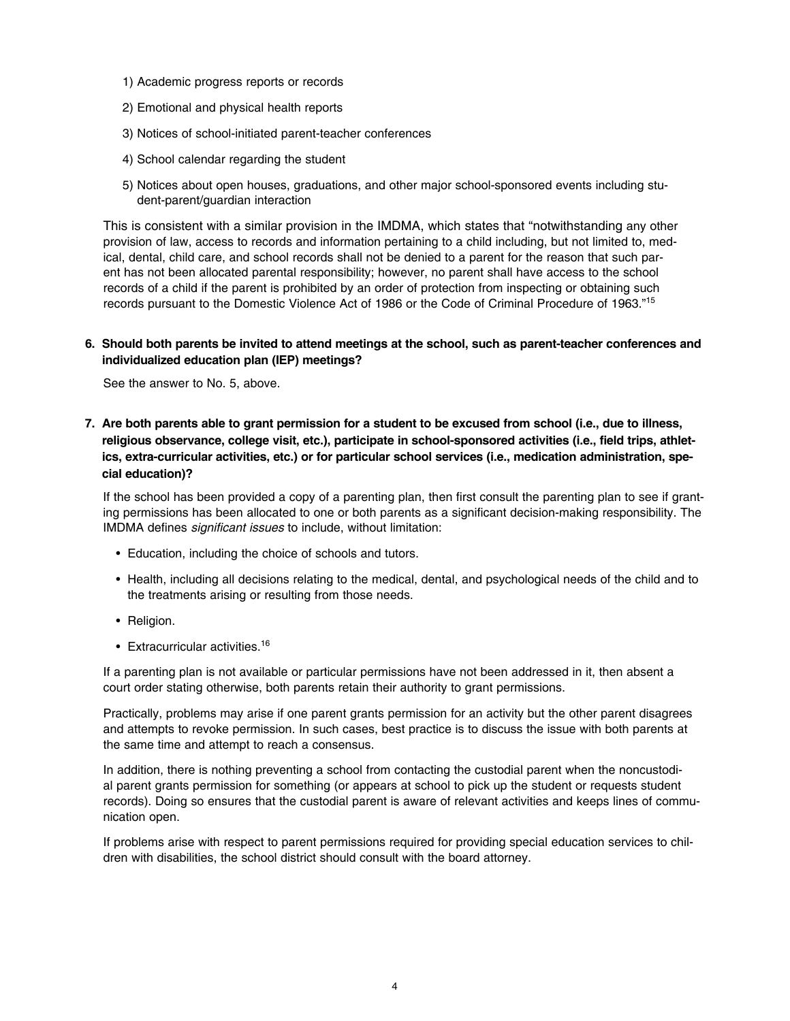- 1) Academic progress reports or records
- 2) Emotional and physical health reports
- 3) Notices of school-initiated parent-teacher conferences
- 4) School calendar regarding the student
- 5) Notices about open houses, graduations, and other major school-sponsored events including student-parent/guardian interaction

This is consistent with a similar provision in the IMDMA, which states that "notwithstanding any other provision of law, access to records and information pertaining to a child including, but not limited to, medical, dental, child care, and school records shall not be denied to a parent for the reason that such parent has not been allocated parental responsibility; however, no parent shall have access to the school records of a child if the parent is prohibited by an order of protection from inspecting or obtaining such records pursuant to the Domestic Violence Act of 1986 or the Code of Criminal Procedure of 1963."15

#### **6. Should both parents be invited to attend meetings at the school, such as parent-teacher conferences and individualized education plan (IEP) meetings?**

See the answer to No. 5, above.

**7. Are both parents able to grant permission for a student to be excused from school (i.e., due to illness, religious observance, college visit, etc.), participate in school-sponsored activities (i.e., field trips, athletics, extra-curricular activities, etc.) or for particular school services (i.e., medication administration, special education)?**

If the school has been provided a copy of a parenting plan, then first consult the parenting plan to see if granting permissions has been allocated to one or both parents as a significant decision-making responsibility. The IMDMA defines *significant issues* to include, without limitation:

- Education, including the choice of schools and tutors.
- Health, including all decisions relating to the medical, dental, and psychological needs of the child and to the treatments arising or resulting from those needs.
- Religion.
- Extracurricular activities.<sup>16</sup>

If a parenting plan is not available or particular permissions have not been addressed in it, then absent a court order stating otherwise, both parents retain their authority to grant permissions.

Practically, problems may arise if one parent grants permission for an activity but the other parent disagrees and attempts to revoke permission. In such cases, best practice is to discuss the issue with both parents at the same time and attempt to reach a consensus.

In addition, there is nothing preventing a school from contacting the custodial parent when the noncustodial parent grants permission for something (or appears at school to pick up the student or requests student records). Doing so ensures that the custodial parent is aware of relevant activities and keeps lines of communication open.

If problems arise with respect to parent permissions required for providing special education services to children with disabilities, the school district should consult with the board attorney.